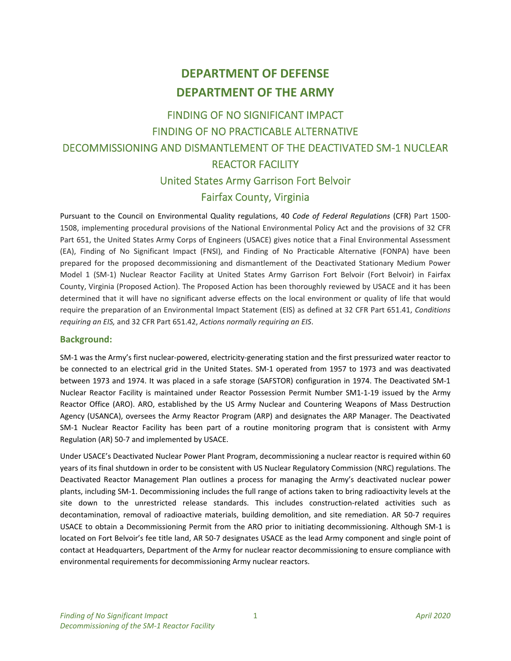# **DEPARTMENT OF DEFENSE DEPARTMENT OF THE ARMY**

## FINDING OF NO SIGNIFICANT IMPACT FINDING OF NO PRACTICABLE ALTERNATIVE DECOMMISSIONING AND DISMANTLEMENT OF THE DEACTIVATED SM‐1 NUCLEAR REACTOR FACILITY United States Army Garrison Fort Belvoir Fairfax County, Virginia

Pursuant to the Council on Environmental Quality regulations, 40 *Code of Federal Regulations* (CFR) Part 1500‐ 1508, implementing procedural provisions of the National Environmental Policy Act and the provisions of 32 CFR Part 651, the United States Army Corps of Engineers (USACE) gives notice that a Final Environmental Assessment (EA), Finding of No Significant Impact (FNSI), and Finding of No Practicable Alternative (FONPA) have been prepared for the proposed decommissioning and dismantlement of the Deactivated Stationary Medium Power Model 1 (SM-1) Nuclear Reactor Facility at United States Army Garrison Fort Belvoir (Fort Belvoir) in Fairfax County, Virginia (Proposed Action). The Proposed Action has been thoroughly reviewed by USACE and it has been determined that it will have no significant adverse effects on the local environment or quality of life that would require the preparation of an Environmental Impact Statement (EIS) as defined at 32 CFR Part 651.41, *Conditions requiring an EIS,* and 32 CFR Part 651.42, *Actions normally requiring an EIS*.

#### **Background:**

SM‐1 was the Army's first nuclear‐powered, electricity‐generating station and the first pressurized water reactor to be connected to an electrical grid in the United States. SM-1 operated from 1957 to 1973 and was deactivated between 1973 and 1974. It was placed in a safe storage (SAFSTOR) configuration in 1974. The Deactivated SM‐1 Nuclear Reactor Facility is maintained under Reactor Possession Permit Number SM1‐1‐19 issued by the Army Reactor Office (ARO). ARO, established by the US Army Nuclear and Countering Weapons of Mass Destruction Agency (USANCA), oversees the Army Reactor Program (ARP) and designates the ARP Manager. The Deactivated SM-1 Nuclear Reactor Facility has been part of a routine monitoring program that is consistent with Army Regulation (AR) 50‐7 and implemented by USACE.

Under USACE's Deactivated Nuclear Power Plant Program, decommissioning a nuclear reactor is required within 60 years of its final shutdown in order to be consistent with US Nuclear Regulatory Commission (NRC) regulations. The Deactivated Reactor Management Plan outlines a process for managing the Army's deactivated nuclear power plants, including SM‐1. Decommissioning includes the full range of actions taken to bring radioactivity levels at the site down to the unrestricted release standards. This includes construction-related activities such as decontamination, removal of radioactive materials, building demolition, and site remediation. AR 50-7 requires USACE to obtain a Decommissioning Permit from the ARO prior to initiating decommissioning. Although SM‐1 is located on Fort Belvoir's fee title land, AR 50‐7 designates USACE as the lead Army component and single point of contact at Headquarters, Department of the Army for nuclear reactor decommissioning to ensure compliance with environmental requirements for decommissioning Army nuclear reactors.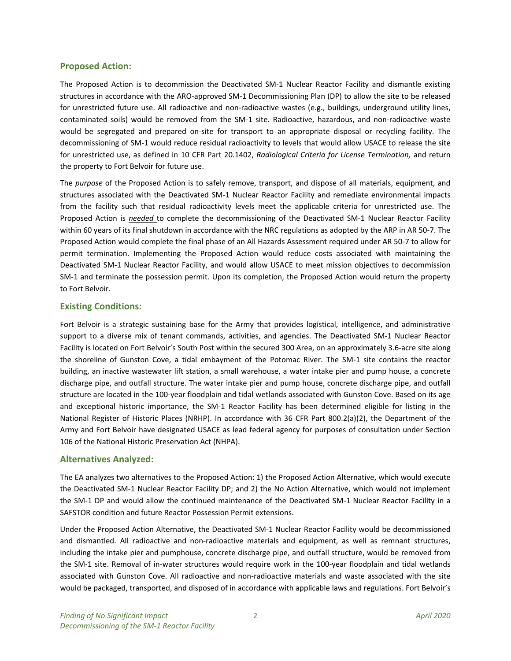## **Proposed Action:**

The Proposed Action is to decommission the Deactivated SM-1 Nuclear Reactor Facility and dismantle existing structures in accordance with the ARO‐approved SM‐1 Decommissioning Plan (DP) to allow the site to be released for unrestricted future use. All radioactive and non-radioactive wastes (e.g., buildings, underground utility lines, contaminated soils) would be removed from the SM-1 site. Radioactive, hazardous, and non-radioactive waste would be segregated and prepared on-site for transport to an appropriate disposal or recycling facility. The decommissioning of SM‐1 would reduce residual radioactivity to levels that would allow USACE to release the site for unrestricted use, as defined in 10 CFR Part 20.1402, *Radiological Criteria for License Termination,* and return the property to Fort Belvoir for future use.

The *purpose* of the Proposed Action is to safely remove, transport, and dispose of all materials, equipment, and structures associated with the Deactivated SM‐1 Nuclear Reactor Facility and remediate environmental impacts from the facility such that residual radioactivity levels meet the applicable criteria for unrestricted use. The Proposed Action is *needed* to complete the decommissioning of the Deactivated SM‐1 Nuclear Reactor Facility within 60 years of its final shutdown in accordance with the NRC regulations as adopted by the ARP in AR 50‐7. The Proposed Action would complete the final phase of an All Hazards Assessment required under AR 50‐7 to allow for permit termination. Implementing the Proposed Action would reduce costs associated with maintaining the Deactivated SM‐1 Nuclear Reactor Facility, and would allow USACE to meet mission objectives to decommission SM-1 and terminate the possession permit. Upon its completion, the Proposed Action would return the property to Fort Belvoir.

## **Existing Conditions:**

Fort Belvoir is a strategic sustaining base for the Army that provides logistical, intelligence, and administrative support to a diverse mix of tenant commands, activities, and agencies. The Deactivated SM-1 Nuclear Reactor Facility is located on Fort Belvoir's South Post within the secured 300 Area, on an approximately 3.6‐acre site along the shoreline of Gunston Cove, a tidal embayment of the Potomac River. The SM-1 site contains the reactor building, an inactive wastewater lift station, a small warehouse, a water intake pier and pump house, a concrete discharge pipe, and outfall structure. The water intake pier and pump house, concrete discharge pipe, and outfall structure are located in the 100‐year floodplain and tidal wetlands associated with Gunston Cove. Based on its age and exceptional historic importance, the SM-1 Reactor Facility has been determined eligible for listing in the National Register of Historic Places (NRHP). In accordance with 36 CFR Part 800.2(a)(2), the Department of the Army and Fort Belvoir have designated USACE as lead federal agency for purposes of consultation under Section 106 of the National Historic Preservation Act (NHPA).

#### **Alternatives Analyzed:**

The EA analyzes two alternatives to the Proposed Action: 1) the Proposed Action Alternative, which would execute the Deactivated SM‐1 Nuclear Reactor Facility DP; and 2) the No Action Alternative, which would not implement the SM-1 DP and would allow the continued maintenance of the Deactivated SM-1 Nuclear Reactor Facility in a SAFSTOR condition and future Reactor Possession Permit extensions.

Under the Proposed Action Alternative, the Deactivated SM‐1 Nuclear Reactor Facility would be decommissioned and dismantled. All radioactive and non-radioactive materials and equipment, as well as remnant structures, including the intake pier and pumphouse, concrete discharge pipe, and outfall structure, would be removed from the SM-1 site. Removal of in-water structures would require work in the 100-year floodplain and tidal wetlands associated with Gunston Cove. All radioactive and non-radioactive materials and waste associated with the site would be packaged, transported, and disposed of in accordance with applicable laws and regulations. Fort Belvoir's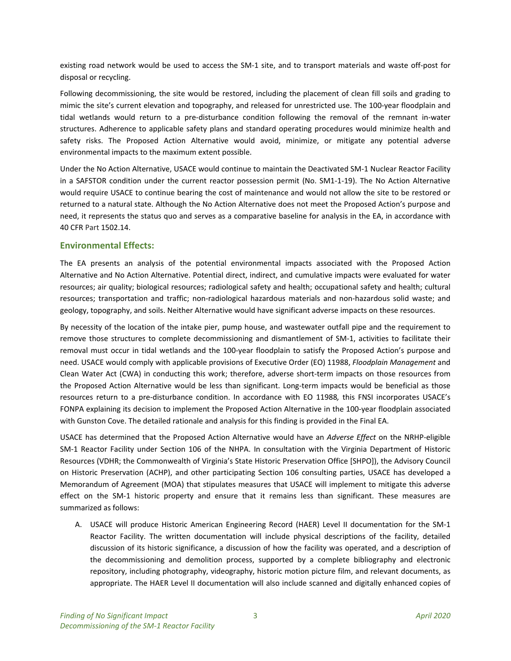existing road network would be used to access the SM-1 site, and to transport materials and waste off-post for disposal or recycling.

Following decommissioning, the site would be restored, including the placement of clean fill soils and grading to mimic the site's current elevation and topography, and released for unrestricted use. The 100‐year floodplain and tidal wetlands would return to a pre-disturbance condition following the removal of the remnant in-water structures. Adherence to applicable safety plans and standard operating procedures would minimize health and safety risks. The Proposed Action Alternative would avoid, minimize, or mitigate any potential adverse environmental impacts to the maximum extent possible.

Under the No Action Alternative, USACE would continue to maintain the Deactivated SM‐1 Nuclear Reactor Facility in a SAFSTOR condition under the current reactor possession permit (No. SM1-1-19). The No Action Alternative would require USACE to continue bearing the cost of maintenance and would not allow the site to be restored or returned to a natural state. Although the No Action Alternative does not meet the Proposed Action's purpose and need, it represents the status quo and serves as a comparative baseline for analysis in the EA, in accordance with 40 CFR Part 1502.14.

## **Environmental Effects:**

The EA presents an analysis of the potential environmental impacts associated with the Proposed Action Alternative and No Action Alternative. Potential direct, indirect, and cumulative impacts were evaluated for water resources; air quality; biological resources; radiological safety and health; occupational safety and health; cultural resources; transportation and traffic; non-radiological hazardous materials and non-hazardous solid waste; and geology, topography, and soils. Neither Alternative would have significant adverse impacts on these resources.

By necessity of the location of the intake pier, pump house, and wastewater outfall pipe and the requirement to remove those structures to complete decommissioning and dismantlement of SM-1, activities to facilitate their removal must occur in tidal wetlands and the 100‐year floodplain to satisfy the Proposed Action's purpose and need. USACE would comply with applicable provisions of Executive Order (EO) 11988, *Floodplain Management* and Clean Water Act (CWA) in conducting this work; therefore, adverse short-term impacts on those resources from the Proposed Action Alternative would be less than significant. Long-term impacts would be beneficial as those resources return to a pre‐disturbance condition. In accordance with EO 11988*,* this FNSI incorporates USACE's FONPA explaining its decision to implement the Proposed Action Alternative in the 100‐year floodplain associated with Gunston Cove. The detailed rationale and analysis for this finding is provided in the Final EA.

USACE has determined that the Proposed Action Alternative would have an *Adverse Effect* on the NRHP‐eligible SM-1 Reactor Facility under Section 106 of the NHPA. In consultation with the Virginia Department of Historic Resources (VDHR; the Commonwealth of Virginia's State Historic Preservation Office [SHPO]), the Advisory Council on Historic Preservation (ACHP), and other participating Section 106 consulting parties, USACE has developed a Memorandum of Agreement (MOA) that stipulates measures that USACE will implement to mitigate this adverse effect on the SM-1 historic property and ensure that it remains less than significant. These measures are summarized as follows:

A. USACE will produce Historic American Engineering Record (HAER) Level II documentation for the SM‐1 Reactor Facility. The written documentation will include physical descriptions of the facility, detailed discussion of its historic significance, a discussion of how the facility was operated, and a description of the decommissioning and demolition process, supported by a complete bibliography and electronic repository, including photography, videography, historic motion picture film, and relevant documents, as appropriate. The HAER Level II documentation will also include scanned and digitally enhanced copies of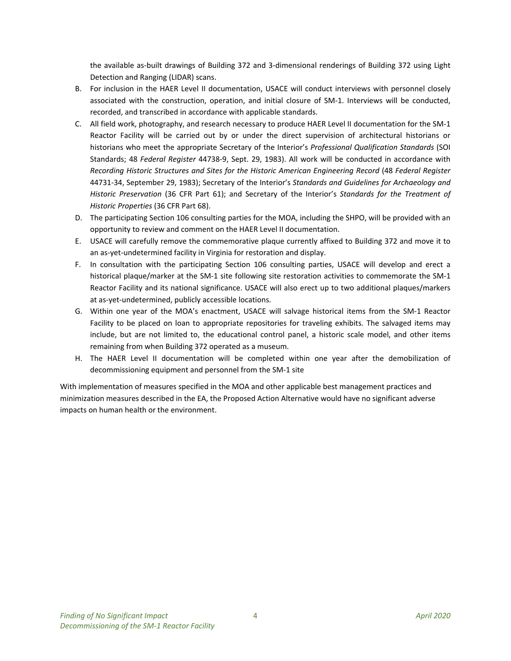the available as‐built drawings of Building 372 and 3‐dimensional renderings of Building 372 using Light Detection and Ranging (LIDAR) scans.

- B. For inclusion in the HAER Level II documentation, USACE will conduct interviews with personnel closely associated with the construction, operation, and initial closure of SM‐1. Interviews will be conducted, recorded, and transcribed in accordance with applicable standards.
- C. All field work, photography, and research necessary to produce HAER Level II documentation for the SM‐1 Reactor Facility will be carried out by or under the direct supervision of architectural historians or historians who meet the appropriate Secretary of the Interior's *Professional Qualification Standards* (SOI Standards; 48 *Federal Register* 44738‐9, Sept. 29, 1983). All work will be conducted in accordance with *Recording Historic Structures and Sites for the Historic American Engineering Record* (48 *Federal Register* 44731‐34, September 29, 1983); Secretary of the Interior's *Standards and Guidelines for Archaeology and Historic Preservation* (36 CFR Part 61); and Secretary of the Interior's *Standards for the Treatment of Historic Properties* (36 CFR Part 68).
- D. The participating Section 106 consulting parties for the MOA, including the SHPO, will be provided with an opportunity to review and comment on the HAER Level II documentation.
- E. USACE will carefully remove the commemorative plaque currently affixed to Building 372 and move it to an as-yet-undetermined facility in Virginia for restoration and display.
- F. In consultation with the participating Section 106 consulting parties, USACE will develop and erect a historical plaque/marker at the SM-1 site following site restoration activities to commemorate the SM-1 Reactor Facility and its national significance. USACE will also erect up to two additional plaques/markers at as‐yet‐undetermined, publicly accessible locations.
- G. Within one year of the MOA's enactment, USACE will salvage historical items from the SM‐1 Reactor Facility to be placed on loan to appropriate repositories for traveling exhibits. The salvaged items may include, but are not limited to, the educational control panel, a historic scale model, and other items remaining from when Building 372 operated as a museum.
- H. The HAER Level II documentation will be completed within one year after the demobilization of decommissioning equipment and personnel from the SM‐1 site

With implementation of measures specified in the MOA and other applicable best management practices and minimization measures described in the EA, the Proposed Action Alternative would have no significant adverse impacts on human health or the environment.